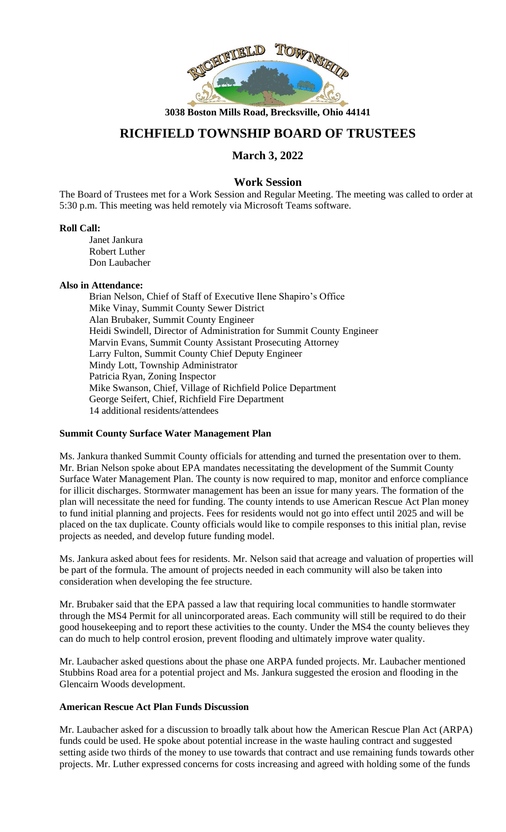

**3038 Boston Mills Road, Brecksville, Ohio 44141**

# **RICHFIELD TOWNSHIP BOARD OF TRUSTEES**

# **March 3, 2022**

# **Work Session**

The Board of Trustees met for a Work Session and Regular Meeting. The meeting was called to order at 5:30 p.m. This meeting was held remotely via Microsoft Teams software.

#### **Roll Call:**

Janet Jankura Robert Luther Don Laubacher

#### **Also in Attendance:**

Brian Nelson, Chief of Staff of Executive Ilene Shapiro's Office Mike Vinay, Summit County Sewer District Alan Brubaker, Summit County Engineer Heidi Swindell, Director of Administration for Summit County Engineer Marvin Evans, Summit County Assistant Prosecuting Attorney Larry Fulton, Summit County Chief Deputy Engineer Mindy Lott, Township Administrator Patricia Ryan, Zoning Inspector Mike Swanson, Chief, Village of Richfield Police Department George Seifert, Chief, Richfield Fire Department 14 additional residents/attendees

# **Summit County Surface Water Management Plan**

Ms. Jankura thanked Summit County officials for attending and turned the presentation over to them. Mr. Brian Nelson spoke about EPA mandates necessitating the development of the Summit County Surface Water Management Plan. The county is now required to map, monitor and enforce compliance for illicit discharges. Stormwater management has been an issue for many years. The formation of the plan will necessitate the need for funding. The county intends to use American Rescue Act Plan money to fund initial planning and projects. Fees for residents would not go into effect until 2025 and will be placed on the tax duplicate. County officials would like to compile responses to this initial plan, revise projects as needed, and develop future funding model.

Ms. Jankura asked about fees for residents. Mr. Nelson said that acreage and valuation of properties will be part of the formula. The amount of projects needed in each community will also be taken into consideration when developing the fee structure.

Mr. Brubaker said that the EPA passed a law that requiring local communities to handle stormwater through the MS4 Permit for all unincorporated areas. Each community will still be required to do their good housekeeping and to report these activities to the county. Under the MS4 the county believes they can do much to help control erosion, prevent flooding and ultimately improve water quality.

Mr. Laubacher asked questions about the phase one ARPA funded projects. Mr. Laubacher mentioned Stubbins Road area for a potential project and Ms. Jankura suggested the erosion and flooding in the Glencairn Woods development.

#### **American Rescue Act Plan Funds Discussion**

Mr. Laubacher asked for a discussion to broadly talk about how the American Rescue Plan Act (ARPA) funds could be used. He spoke about potential increase in the waste hauling contract and suggested setting aside two thirds of the money to use towards that contract and use remaining funds towards other projects. Mr. Luther expressed concerns for costs increasing and agreed with holding some of the funds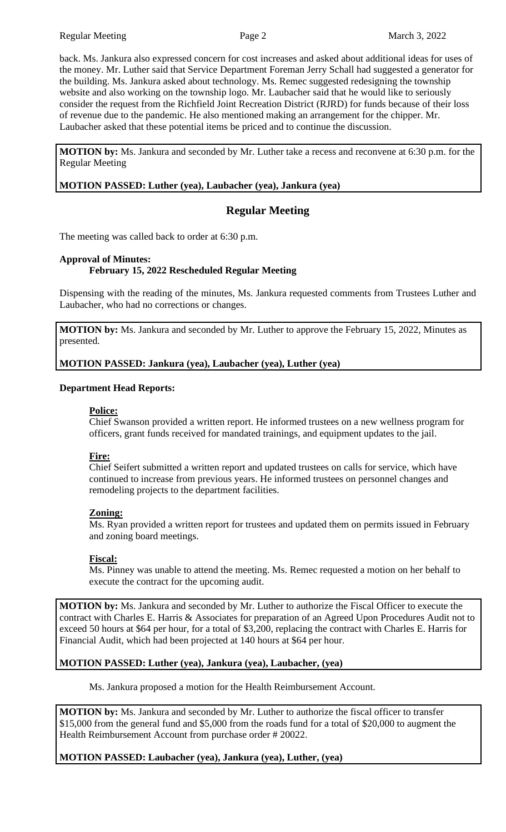back. Ms. Jankura also expressed concern for cost increases and asked about additional ideas for uses of the money. Mr. Luther said that Service Department Foreman Jerry Schall had suggested a generator for the building. Ms. Jankura asked about technology. Ms. Remec suggested redesigning the township website and also working on the township logo. Mr. Laubacher said that he would like to seriously consider the request from the Richfield Joint Recreation District (RJRD) for funds because of their loss of revenue due to the pandemic. He also mentioned making an arrangement for the chipper. Mr. Laubacher asked that these potential items be priced and to continue the discussion.

**MOTION by:** Ms. Jankura and seconded by Mr. Luther take a recess and reconvene at 6:30 p.m. for the Regular Meeting

**MOTION PASSED: Luther (yea), Laubacher (yea), Jankura (yea)**

# **Regular Meeting**

The meeting was called back to order at 6:30 p.m.

#### **Approval of Minutes: February 15, 2022 Rescheduled Regular Meeting**

Dispensing with the reading of the minutes, Ms. Jankura requested comments from Trustees Luther and Laubacher, who had no corrections or changes.

**MOTION by:** Ms. Jankura and seconded by Mr. Luther to approve the February 15, 2022, Minutes as presented.

**MOTION PASSED: Jankura (yea), Laubacher (yea), Luther (yea)**

#### **Department Head Reports:**

#### **Police:**

Chief Swanson provided a written report. He informed trustees on a new wellness program for officers, grant funds received for mandated trainings, and equipment updates to the jail.

#### **Fire:**

Chief Seifert submitted a written report and updated trustees on calls for service, which have continued to increase from previous years. He informed trustees on personnel changes and remodeling projects to the department facilities.

#### **Zoning:**

Ms. Ryan provided a written report for trustees and updated them on permits issued in February and zoning board meetings.

#### **Fiscal:**

Ms. Pinney was unable to attend the meeting. Ms. Remec requested a motion on her behalf to execute the contract for the upcoming audit.

**MOTION by:** Ms. Jankura and seconded by Mr. Luther to authorize the Fiscal Officer to execute the contract with Charles E. Harris & Associates for preparation of an Agreed Upon Procedures Audit not to exceed 50 hours at \$64 per hour, for a total of \$3,200, replacing the contract with Charles E. Harris for Financial Audit, which had been projected at 140 hours at \$64 per hour.

#### **MOTION PASSED: Luther (yea), Jankura (yea), Laubacher, (yea)**

Ms. Jankura proposed a motion for the Health Reimbursement Account.

**MOTION by:** Ms. Jankura and seconded by Mr. Luther to authorize the fiscal officer to transfer \$15,000 from the general fund and \$5,000 from the roads fund for a total of \$20,000 to augment the Health Reimbursement Account from purchase order # 20022.

#### **MOTION PASSED: Laubacher (yea), Jankura (yea), Luther, (yea)**